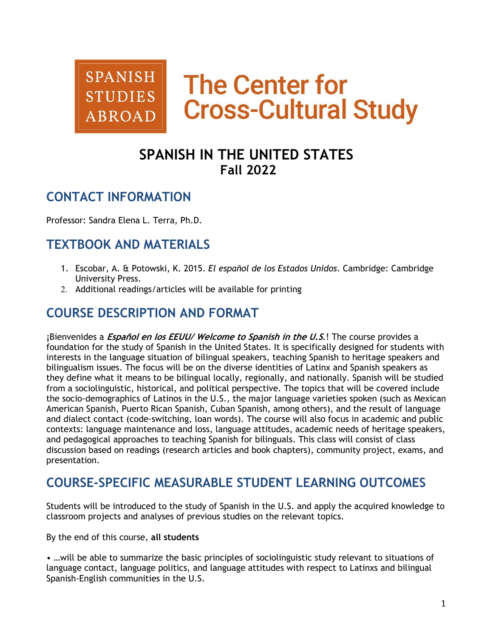

# **The Center for Cross-Cultural Study**

# **SPANISH IN THE UNITED STATES Fall 2022**

### **CONTACT INFORMATION**

Professor: Sandra Elena L. Terra, Ph.D.

### **TEXTBOOK AND MATERIALS**

- 1. Escobar, A. & Potowski, K. 2015. *El español de los Estados Unidos*. Cambridge: Cambridge University Press.
- 2. Additional readings/articles will be available for printing

### **COURSE DESCRIPTION AND FORMAT**

¡Bienvenides a **Español en los EEUU/ Welcome to Spanish in the U.S**.! The course provides a foundation for the study of Spanish in the United States. It is specifically designed for students with interests in the language situation of bilingual speakers, teaching Spanish to heritage speakers and bilingualism issues. The focus will be on the diverse identities of Latinx and Spanish speakers as they define what it means to be bilingual locally, regionally, and nationally. Spanish will be studied from a sociolinguistic, historical, and political perspective. The topics that will be covered include the socio-demographics of Latinos in the U.S., the major language varieties spoken (such as Mexican American Spanish, Puerto Rican Spanish, Cuban Spanish, among others), and the result of language and dialect contact (code-switching, loan words). The course will also focus in academic and public contexts: language maintenance and loss, language attitudes, academic needs of heritage speakers, and pedagogical approaches to teaching Spanish for bilinguals. This class will consist of class discussion based on readings (research articles and book chapters), community project, exams, and presentation.

### **COURSE-SPECIFIC MEASURABLE STUDENT LEARNING OUTCOMES**

Students will be introduced to the study of Spanish in the U.S. and apply the acquired knowledge to classroom projects and analyses of previous studies on the relevant topics.

By the end of this course, **all students**

• …will be able to summarize the basic principles of sociolinguistic study relevant to situations of language contact, language politics, and language attitudes with respect to Latinxs and bilingual Spanish-English communities in the U.S.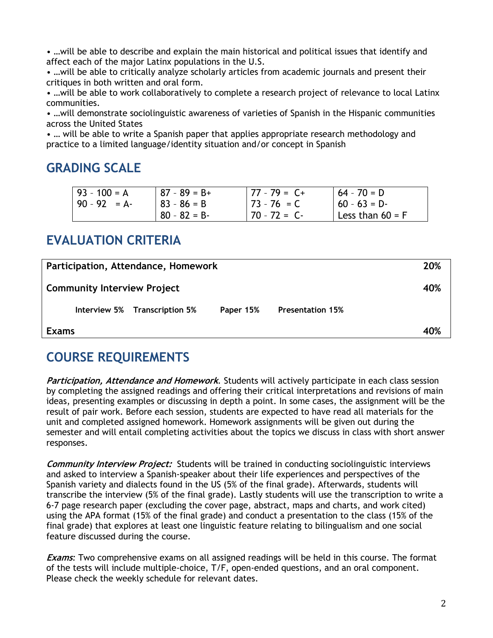• …will be able to describe and explain the main historical and political issues that identify and affect each of the major Latinx populations in the U.S.

• …will be able to critically analyze scholarly articles from academic journals and present their critiques in both written and oral form.

• …will be able to work collaboratively to complete a research project of relevance to local Latinx communities.

• …will demonstrate sociolinguistic awareness of varieties of Spanish in the Hispanic communities across the United States

• … will be able to write a Spanish paper that applies appropriate research methodology and practice to a limited language/identity situation and/or concept in Spanish

### **GRADING SCALE**

| $93 - 100 = A$  | $187 - 89 = B +$ | 77 - 79 =  C+   | $164 - 70 = D$     |
|-----------------|------------------|-----------------|--------------------|
| $ 90 - 92  = A$ | ⊩ 83 - 86 = B    | $ 73 - 76  = C$ | $  60 - 63 = D -$  |
|                 | $80 - 82 = B$    | $70 - 72 = C$   | Less than $60 = F$ |

# **EVALUATION CRITERIA**

| Participation, Attendance, Homework |                               |           |                         |     |
|-------------------------------------|-------------------------------|-----------|-------------------------|-----|
| <b>Community Interview Project</b>  |                               |           |                         | 40% |
|                                     | Interview 5% Transcription 5% | Paper 15% | <b>Presentation 15%</b> |     |
| <b>Exams</b>                        |                               |           |                         | 40% |

### **COURSE REQUIREMENTS**

**Participation, Attendance and Homework***.* Students will actively participate in each class session by completing the assigned readings and offering their critical interpretations and revisions of main ideas, presenting examples or discussing in depth a point. In some cases, the assignment will be the result of pair work. Before each session, students are expected to have read all materials for the unit and completed assigned homework. Homework assignments will be given out during the semester and will entail completing activities about the topics we discuss in class with short answer responses.

**Community Interview Project:** Students will be trained in conducting sociolinguistic interviews and asked to interview a Spanish-speaker about their life experiences and perspectives of the Spanish variety and dialects found in the US (5% of the final grade). Afterwards, students will transcribe the interview (5% of the final grade). Lastly students will use the transcription to write a 6-7 page research paper (excluding the cover page, abstract, maps and charts, and work cited) using the APA format (15% of the final grade) and conduct a presentation to the class (15% of the final grade) that explores at least one linguistic feature relating to bilingualism and one social feature discussed during the course.

**Exams***:* Two comprehensive exams on all assigned readings will be held in this course. The format of the tests will include multiple-choice, T/F, open-ended questions, and an oral component. Please check the weekly schedule for relevant dates.